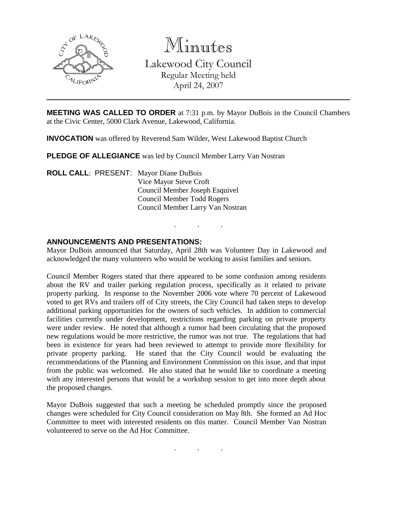

Minutes

Lakewood City Council Regular Meeting held April 24, 2007

**MEETING WAS CALLED TO ORDER** at 7:31 p.m. by Mayor DuBois in the Council Chambers at the Civic Center, 5000 Clark Avenue, Lakewood, California.

**INVOCATION** was offered by Reverend Sam Wilder, West Lakewood Baptist Church

**PLEDGE OF ALLEGIANCE** was led by Council Member Larry Van Nostran

**ROLL CALL**: PRESENT: Mayor Diane DuBois Vice Mayor Steve Croft Council Member Joseph Esquivel Council Member Todd Rogers Council Member Larry Van Nostran

## **ANNOUNCEMENTS AND PRESENTATIONS:**

Mayor DuBois announced that Saturday, April 28th was Volunteer Day in Lakewood and acknowledged the many volunteers who would be working to assist families and seniors.

. . .

Council Member Rogers stated that there appeared to be some confusion among residents about the RV and trailer parking regulation process, specifically as it related to private property parking. In response to the November 2006 vote where 70 percent of Lakewood voted to get RVs and trailers off of City streets, the City Council had taken steps to develop additional parking opportunities for the owners of such vehicles. In addition to commercial facilities currently under development, restrictions regarding parking on private property were under review. He noted that although a rumor had been circulating that the proposed new regulations would be more restrictive, the rumor was not true. The regulations that had been in existence for years had been reviewed to attempt to provide more flexibility for private property parking. He stated that the City Council would be evaluating the recommendations of the Planning and Environment Commission on this issue, and that input from the public was welcomed. He also stated that he would like to coordinate a meeting with any interested persons that would be a workshop session to get into more depth about the proposed changes.

Mayor DuBois suggested that such a meeting be scheduled promptly since the proposed changes were scheduled for City Council consideration on May 8th. She formed an Ad Hoc Committee to meet with interested residents on this matter. Council Member Van Nostran volunteered to serve on the Ad Hoc Committee.

. . .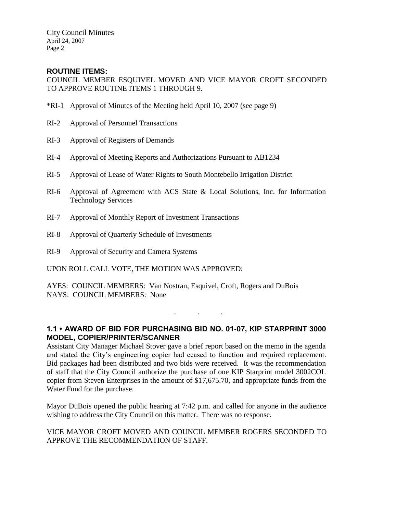## **ROUTINE ITEMS:**

COUNCIL MEMBER ESQUIVEL MOVED AND VICE MAYOR CROFT SECONDED TO APPROVE ROUTINE ITEMS 1 THROUGH 9.

- \*RI-1 Approval of Minutes of the Meeting held April 10, 2007 (see page 9)
- RI-2 Approval of Personnel Transactions
- RI-3 Approval of Registers of Demands
- RI-4 Approval of Meeting Reports and Authorizations Pursuant to AB1234
- RI-5 Approval of Lease of Water Rights to South Montebello Irrigation District
- RI-6 Approval of Agreement with ACS State & Local Solutions, Inc. for Information Technology Services
- RI-7 Approval of Monthly Report of Investment Transactions
- RI-8 Approval of Quarterly Schedule of Investments
- RI-9 Approval of Security and Camera Systems

UPON ROLL CALL VOTE, THE MOTION WAS APPROVED:

AYES: COUNCIL MEMBERS: Van Nostran, Esquivel, Croft, Rogers and DuBois NAYS: COUNCIL MEMBERS: None

**1.1 • AWARD OF BID FOR PURCHASING BID NO. 01-07, KIP STARPRINT 3000 MODEL, COPIER/PRINTER/SCANNER**

. . .

Assistant City Manager Michael Stover gave a brief report based on the memo in the agenda and stated the City's engineering copier had ceased to function and required replacement. Bid packages had been distributed and two bids were received. It was the recommendation of staff that the City Council authorize the purchase of one KIP Starprint model 3002COL copier from Steven Enterprises in the amount of \$17,675.70, and appropriate funds from the Water Fund for the purchase.

Mayor DuBois opened the public hearing at 7:42 p.m. and called for anyone in the audience wishing to address the City Council on this matter. There was no response.

#### VICE MAYOR CROFT MOVED AND COUNCIL MEMBER ROGERS SECONDED TO APPROVE THE RECOMMENDATION OF STAFF.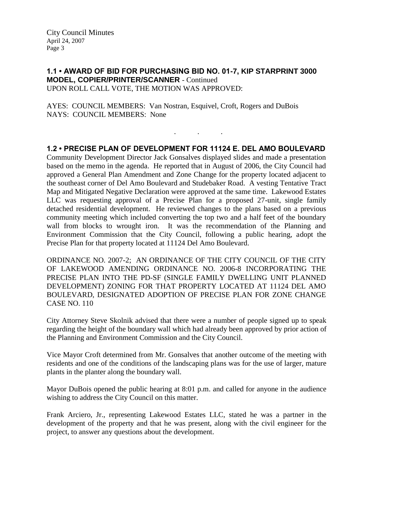#### **1.1 • AWARD OF BID FOR PURCHASING BID NO. 01-7, KIP STARPRINT 3000 MODEL, COPIER/PRINTER/SCANNER** - Continued UPON ROLL CALL VOTE, THE MOTION WAS APPROVED:

AYES: COUNCIL MEMBERS: Van Nostran, Esquivel, Croft, Rogers and DuBois NAYS: COUNCIL MEMBERS: None

## **1.2 • PRECISE PLAN OF DEVELOPMENT FOR 11124 E. DEL AMO BOULEVARD**

. . .

Community Development Director Jack Gonsalves displayed slides and made a presentation based on the memo in the agenda. He reported that in August of 2006, the City Council had approved a General Plan Amendment and Zone Change for the property located adjacent to the southeast corner of Del Amo Boulevard and Studebaker Road. A vesting Tentative Tract Map and Mitigated Negative Declaration were approved at the same time. Lakewood Estates LLC was requesting approval of a Precise Plan for a proposed 27-unit, single family detached residential development. He reviewed changes to the plans based on a previous community meeting which included converting the top two and a half feet of the boundary wall from blocks to wrought iron. It was the recommendation of the Planning and Environment Commission that the City Council, following a public hearing, adopt the Precise Plan for that property located at 11124 Del Amo Boulevard.

ORDINANCE NO. 2007-2; AN ORDINANCE OF THE CITY COUNCIL OF THE CITY OF LAKEWOOD AMENDING ORDINANCE NO. 2006-8 INCORPORATING THE PRECISE PLAN INTO THE PD-SF (SINGLE FAMILY DWELLING UNIT PLANNED DEVELOPMENT) ZONING FOR THAT PROPERTY LOCATED AT 11124 DEL AMO BOULEVARD, DESIGNATED ADOPTION OF PRECISE PLAN FOR ZONE CHANGE CASE NO. 110

City Attorney Steve Skolnik advised that there were a number of people signed up to speak regarding the height of the boundary wall which had already been approved by prior action of the Planning and Environment Commission and the City Council.

Vice Mayor Croft determined from Mr. Gonsalves that another outcome of the meeting with residents and one of the conditions of the landscaping plans was for the use of larger, mature plants in the planter along the boundary wall.

Mayor DuBois opened the public hearing at 8:01 p.m. and called for anyone in the audience wishing to address the City Council on this matter.

Frank Arciero, Jr., representing Lakewood Estates LLC, stated he was a partner in the development of the property and that he was present, along with the civil engineer for the project, to answer any questions about the development.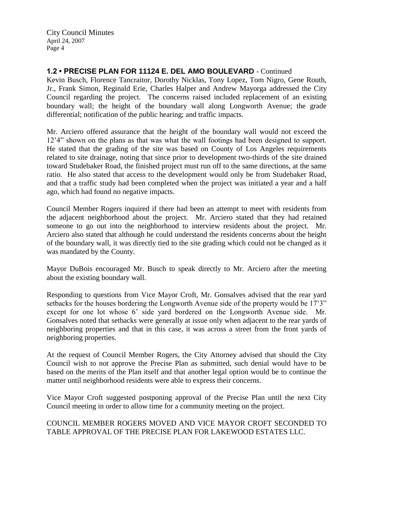## **1.2 • PRECISE PLAN FOR 11124 E. DEL AMO BOULEVARD** - Continued

Kevin Busch, Florence Tancraitor, Dorothy Nicklas, Tony Lopez, Tom Nigro, Gene Routh, Jr., Frank Simon, Reginald Erie, Charles Halper and Andrew Mayorga addressed the City Council regarding the project. The concerns raised included replacement of an existing boundary wall; the height of the boundary wall along Longworth Avenue; the grade differential; notification of the public hearing; and traffic impacts.

Mr. Arciero offered assurance that the height of the boundary wall would not exceed the 12'4" shown on the plans as that was what the wall footings had been designed to support. He stated that the grading of the site was based on County of Los Angeles requirements related to site drainage, noting that since prior to development two-thirds of the site drained toward Studebaker Road, the finished project must run off to the same directions, at the same ratio. He also stated that access to the development would only be from Studebaker Road, and that a traffic study had been completed when the project was initiated a year and a half ago, which had found no negative impacts.

Council Member Rogers inquired if there had been an attempt to meet with residents from the adjacent neighborhood about the project. Mr. Arciero stated that they had retained someone to go out into the neighborhood to interview residents about the project. Mr. Arciero also stated that although he could understand the residents concerns about the height of the boundary wall, it was directly tied to the site grading which could not be changed as it was mandated by the County.

Mayor DuBois encouraged Mr. Busch to speak directly to Mr. Arciero after the meeting about the existing boundary wall.

Responding to questions from Vice Mayor Croft, Mr. Gonsalves advised that the rear yard setbacks for the houses bordering the Longworth Avenue side of the property would be 17'3" except for one lot whose 6' side yard bordered on the Longworth Avenue side. Mr. Gonsalves noted that setbacks were generally at issue only when adjacent to the rear yards of neighboring properties and that in this case, it was across a street from the front yards of neighboring properties.

At the request of Council Member Rogers, the City Attorney advised that should the City Council wish to not approve the Precise Plan as submitted, such denial would have to be based on the merits of the Plan itself and that another legal option would be to continue the matter until neighborhood residents were able to express their concerns.

Vice Mayor Croft suggested postponing approval of the Precise Plan until the next City Council meeting in order to allow time for a community meeting on the project.

COUNCIL MEMBER ROGERS MOVED AND VICE MAYOR CROFT SECONDED TO TABLE APPROVAL OF THE PRECISE PLAN FOR LAKEWOOD ESTATES LLC.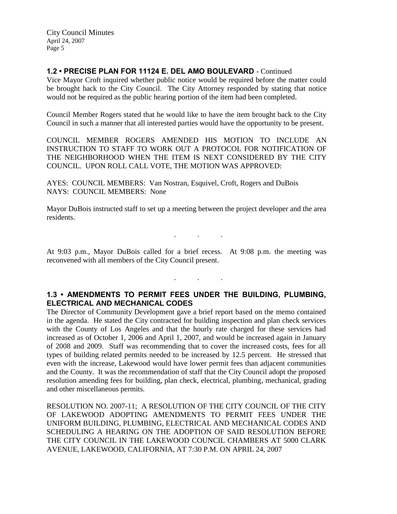## **1.2 • PRECISE PLAN FOR 11124 E. DEL AMO BOULEVARD** - Continued

Vice Mayor Croft inquired whether public notice would be required before the matter could be brought back to the City Council. The City Attorney responded by stating that notice would not be required as the public hearing portion of the item had been completed.

Council Member Rogers stated that he would like to have the item brought back to the City Council in such a manner that all interested parties would have the opportunity to be present.

COUNCIL MEMBER ROGERS AMENDED HIS MOTION TO INCLUDE AN INSTRUCTION TO STAFF TO WORK OUT A PROTOCOL FOR NOTIFICATION OF THE NEIGHBORHOOD WHEN THE ITEM IS NEXT CONSIDERED BY THE CITY COUNCIL. UPON ROLL CALL VOTE, THE MOTION WAS APPROVED:

AYES: COUNCIL MEMBERS: Van Nostran, Esquivel, Croft, Rogers and DuBois NAYS: COUNCIL MEMBERS: None

Mayor DuBois instructed staff to set up a meeting between the project developer and the area residents.

At 9:03 p.m., Mayor DuBois called for a brief recess. At 9:08 p.m. the meeting was reconvened with all members of the City Council present.

. . .

. . .

## **1.3 • AMENDMENTS TO PERMIT FEES UNDER THE BUILDING, PLUMBING, ELECTRICAL AND MECHANICAL CODES**

The Director of Community Development gave a brief report based on the memo contained in the agenda. He stated the City contracted for building inspection and plan check services with the County of Los Angeles and that the hourly rate charged for these services had increased as of October 1, 2006 and April 1, 2007, and would be increased again in January of 2008 and 2009. Staff was recommending that to cover the increased costs, fees for all types of building related permits needed to be increased by 12.5 percent. He stressed that even with the increase, Lakewood would have lower permit fees than adjacent communities and the County. It was the recommendation of staff that the City Council adopt the proposed resolution amending fees for building, plan check, electrical, plumbing, mechanical, grading and other miscellaneous permits.

RESOLUTION NO. 2007-11; A RESOLUTION OF THE CITY COUNCIL OF THE CITY OF LAKEWOOD ADOPTING AMENDMENTS TO PERMIT FEES UNDER THE UNIFORM BUILDING, PLUMBING, ELECTRICAL AND MECHANICAL CODES AND SCHEDULING A HEARING ON THE ADOPTION OF SAID RESOLUTION BEFORE THE CITY COUNCIL IN THE LAKEWOOD COUNCIL CHAMBERS AT 5000 CLARK AVENUE, LAKEWOOD, CALIFORNIA, AT 7:30 P.M. ON APRIL 24, 2007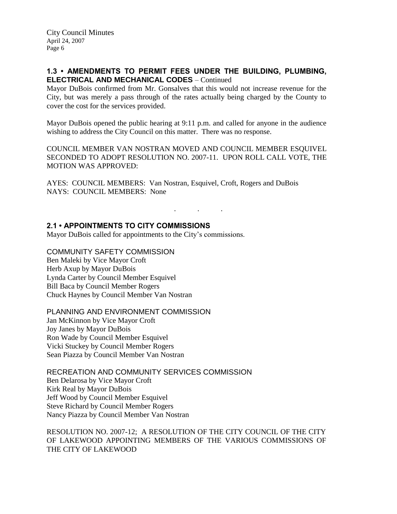## **1.3 • AMENDMENTS TO PERMIT FEES UNDER THE BUILDING, PLUMBING, ELECTRICAL AND MECHANICAL CODES** – Continued

Mayor DuBois confirmed from Mr. Gonsalves that this would not increase revenue for the City, but was merely a pass through of the rates actually being charged by the County to cover the cost for the services provided.

Mayor DuBois opened the public hearing at 9:11 p.m. and called for anyone in the audience wishing to address the City Council on this matter. There was no response.

COUNCIL MEMBER VAN NOSTRAN MOVED AND COUNCIL MEMBER ESQUIVEL SECONDED TO ADOPT RESOLUTION NO. 2007-11. UPON ROLL CALL VOTE, THE MOTION WAS APPROVED:

. . .

AYES: COUNCIL MEMBERS: Van Nostran, Esquivel, Croft, Rogers and DuBois NAYS: COUNCIL MEMBERS: None

# **2.1 • APPOINTMENTS TO CITY COMMISSIONS**

Mayor DuBois called for appointments to the City's commissions.

COMMUNITY SAFETY COMMISSION Ben Maleki by Vice Mayor Croft Herb Axup by Mayor DuBois Lynda Carter by Council Member Esquivel Bill Baca by Council Member Rogers Chuck Haynes by Council Member Van Nostran

## PLANNING AND ENVIRONMENT COMMISSION

Jan McKinnon by Vice Mayor Croft Joy Janes by Mayor DuBois Ron Wade by Council Member Esquivel Vicki Stuckey by Council Member Rogers Sean Piazza by Council Member Van Nostran

RECREATION AND COMMUNITY SERVICES COMMISSION Ben Delarosa by Vice Mayor Croft Kirk Real by Mayor DuBois Jeff Wood by Council Member Esquivel Steve Richard by Council Member Rogers Nancy Piazza by Council Member Van Nostran

#### RESOLUTION NO. 2007-12; A RESOLUTION OF THE CITY COUNCIL OF THE CITY OF LAKEWOOD APPOINTING MEMBERS OF THE VARIOUS COMMISSIONS OF THE CITY OF LAKEWOOD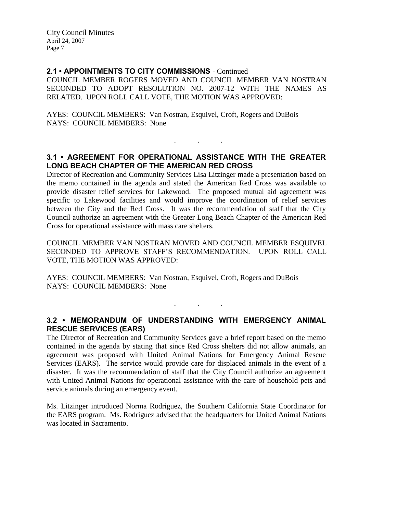#### **2.1 • APPOINTMENTS TO CITY COMMISSIONS** - Continued

COUNCIL MEMBER ROGERS MOVED AND COUNCIL MEMBER VAN NOSTRAN SECONDED TO ADOPT RESOLUTION NO. 2007-12 WITH THE NAMES AS RELATED. UPON ROLL CALL VOTE, THE MOTION WAS APPROVED:

AYES: COUNCIL MEMBERS: Van Nostran, Esquivel, Croft, Rogers and DuBois NAYS: COUNCIL MEMBERS: None

## **3.1 • AGREEMENT FOR OPERATIONAL ASSISTANCE WITH THE GREATER LONG BEACH CHAPTER OF THE AMERICAN RED CROSS**

. . .

Director of Recreation and Community Services Lisa Litzinger made a presentation based on the memo contained in the agenda and stated the American Red Cross was available to provide disaster relief services for Lakewood. The proposed mutual aid agreement was specific to Lakewood facilities and would improve the coordination of relief services between the City and the Red Cross. It was the recommendation of staff that the City Council authorize an agreement with the Greater Long Beach Chapter of the American Red Cross for operational assistance with mass care shelters.

COUNCIL MEMBER VAN NOSTRAN MOVED AND COUNCIL MEMBER ESQUIVEL SECONDED TO APPROVE STAFF'S RECOMMENDATION. UPON ROLL CALL VOTE, THE MOTION WAS APPROVED:

AYES: COUNCIL MEMBERS: Van Nostran, Esquivel, Croft, Rogers and DuBois NAYS: COUNCIL MEMBERS: None

#### **3.2 • MEMORANDUM OF UNDERSTANDING WITH EMERGENCY ANIMAL RESCUE SERVICES (EARS)**

. . .

The Director of Recreation and Community Services gave a brief report based on the memo contained in the agenda by stating that since Red Cross shelters did not allow animals, an agreement was proposed with United Animal Nations for Emergency Animal Rescue Services (EARS). The service would provide care for displaced animals in the event of a disaster. It was the recommendation of staff that the City Council authorize an agreement with United Animal Nations for operational assistance with the care of household pets and service animals during an emergency event.

Ms. Litzinger introduced Norma Rodriguez, the Southern California State Coordinator for the EARS program. Ms. Rodriguez advised that the headquarters for United Animal Nations was located in Sacramento.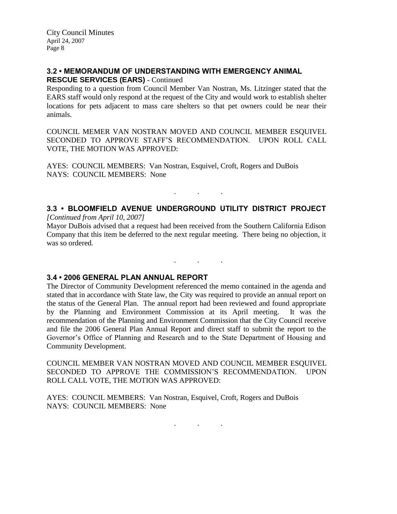#### **3.2 • MEMORANDUM OF UNDERSTANDING WITH EMERGENCY ANIMAL RESCUE SERVICES (EARS)** - Continued

Responding to a question from Council Member Van Nostran, Ms. Litzinger stated that the EARS staff would only respond at the request of the City and would work to establish shelter locations for pets adjacent to mass care shelters so that pet owners could be near their animals.

COUNCIL MEMER VAN NOSTRAN MOVED AND COUNCIL MEMBER ESQUIVEL SECONDED TO APPROVE STAFF'S RECOMMENDATION. UPON ROLL CALL VOTE, THE MOTION WAS APPROVED:

AYES: COUNCIL MEMBERS: Van Nostran, Esquivel, Croft, Rogers and DuBois NAYS: COUNCIL MEMBERS: None

# **3.3 • BLOOMFIELD AVENUE UNDERGROUND UTILITY DISTRICT PROJECT**

. . .

. . .

*[Continued from April 10, 2007]*

Mayor DuBois advised that a request had been received from the Southern California Edison Company that this item be deferred to the next regular meeting. There being no objection, it was so ordered.

## **3.4 • 2006 GENERAL PLAN ANNUAL REPORT**

The Director of Community Development referenced the memo contained in the agenda and stated that in accordance with State law, the City was required to provide an annual report on the status of the General Plan. The annual report had been reviewed and found appropriate by the Planning and Environment Commission at its April meeting. It was the recommendation of the Planning and Environment Commission that the City Council receive and file the 2006 General Plan Annual Report and direct staff to submit the report to the Governor's Office of Planning and Research and to the State Department of Housing and Community Development.

COUNCIL MEMBER VAN NOSTRAN MOVED AND COUNCIL MEMBER ESQUIVEL SECONDED TO APPROVE THE COMMISSION'S RECOMMENDATION. UPON ROLL CALL VOTE, THE MOTION WAS APPROVED:

AYES: COUNCIL MEMBERS: Van Nostran, Esquivel, Croft, Rogers and DuBois NAYS: COUNCIL MEMBERS: None

. . .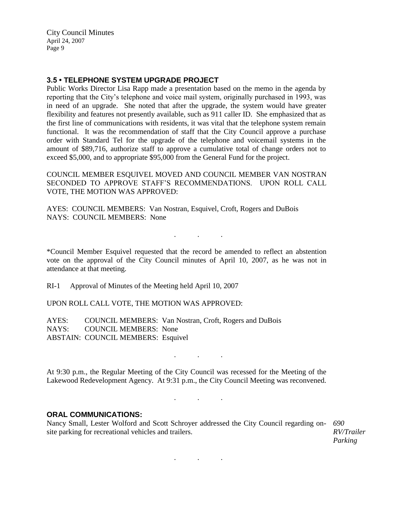#### **3.5 • TELEPHONE SYSTEM UPGRADE PROJECT**

Public Works Director Lisa Rapp made a presentation based on the memo in the agenda by reporting that the City's telephone and voice mail system, originally purchased in 1993, was in need of an upgrade. She noted that after the upgrade, the system would have greater flexibility and features not presently available, such as 911 caller ID. She emphasized that as the first line of communications with residents, it was vital that the telephone system remain functional. It was the recommendation of staff that the City Council approve a purchase order with Standard Tel for the upgrade of the telephone and voicemail systems in the amount of \$89,716, authorize staff to approve a cumulative total of change orders not to exceed \$5,000, and to appropriate \$95,000 from the General Fund for the project.

COUNCIL MEMBER ESQUIVEL MOVED AND COUNCIL MEMBER VAN NOSTRAN SECONDED TO APPROVE STAFF'S RECOMMENDATIONS. UPON ROLL CALL VOTE, THE MOTION WAS APPROVED:

AYES: COUNCIL MEMBERS: Van Nostran, Esquivel, Croft, Rogers and DuBois NAYS: COUNCIL MEMBERS: None

\*Council Member Esquivel requested that the record be amended to reflect an abstention vote on the approval of the City Council minutes of April 10, 2007, as he was not in attendance at that meeting.

. . .

RI-1 Approval of Minutes of the Meeting held April 10, 2007

UPON ROLL CALL VOTE, THE MOTION WAS APPROVED:

AYES: COUNCIL MEMBERS: Van Nostran, Croft, Rogers and DuBois NAYS: COUNCIL MEMBERS: None ABSTAIN: COUNCIL MEMBERS: Esquivel

At 9:30 p.m., the Regular Meeting of the City Council was recessed for the Meeting of the Lakewood Redevelopment Agency. At 9:31 p.m., the City Council Meeting was reconvened.

. . .

. . .

#### **ORAL COMMUNICATIONS:**

Nancy Small, Lester Wolford and Scott Schroyer addressed the City Council regarding on-*690* site parking for recreational vehicles and trailers.

*RV/Trailer Parking*

. . .